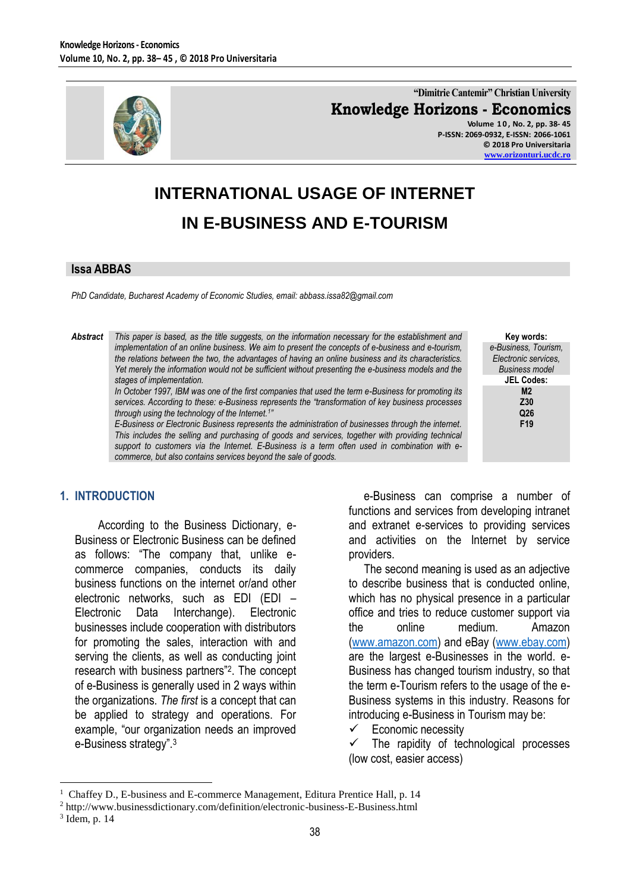

**"Dimitrie Cantemir" Christian University Knowledge Horizons - Economics Volume 1 0 , No. 2, pp. 38- 45 P-ISSN: 2069-0932, E-ISSN: 2066-1061**

**© 2018 Pro Universitaria [www.orizonturi.ucdc.ro](http://www.orizonturi.ucdc.ro/)**

> **Key words:** *e-Business, Tourism, Electronic services, Business model* **JEL Codes: M2 Z30 Q26 F19**

# **INTERNATIONAL USAGE OF INTERNET IN E-BUSINESS AND E-TOURISM**

#### **Issa ABBAS**

*PhD Candidate, Bucharest Academy of Economic Studies, email: abbass.issa82@gmail.com*

#### *Abstract This paper is based, as the title suggests, on the information necessary for the establishment and implementation of an online business. We aim to present the concepts of e-business and e-tourism, the relations between the two, the advantages of having an online business and its characteristics. Yet merely the information would not be sufficient without presenting the e-business models and the stages of implementation.*

*In October 1997, IBM was one of the first companies that used the term e-Business for promoting its services. According to these: e-Business represents the "transformation of key business processes through using the technology of the Internet.<sup>1</sup> "*

*E-Business or Electronic Business represents the administration of businesses through the internet. This includes the selling and purchasing of goods and services, together with providing technical support to customers via the Internet. E-Business is a term often used in combination with ecommerce, but also contains services beyond the sale of goods.*

# **1. INTRODUCTION**

According to the Business Dictionary, e-Business or Electronic Business can be defined as follows: "The company that, unlike ecommerce companies, conducts its daily business functions on the internet or/and other electronic networks, such as EDI (EDI – Electronic Data Interchange). Electronic businesses include cooperation with distributors for promoting the sales, interaction with and serving the clients, as well as conducting joint research with business partners"<sup>2</sup> . The concept of e-Business is generally used in 2 ways within the organizations. *The first* is a concept that can be applied to strategy and operations. For example, "our organization needs an improved e-Business strategy" 3

e-Business can comprise a number of functions and services from developing intranet and extranet e-services to providing services and activities on the Internet by service providers.

The second meaning is used as an adjective to describe business that is conducted online, which has no physical presence in a particular office and tries to reduce customer support via the online medium. Amazon [\(www.amazon.com\)](http://www.amazon.com/) and eBay [\(www.ebay.com\)](http://www.ebay.com/) are the largest e-Businesses in the world. e-Business has changed tourism industry, so that the term e-Tourism refers to the usage of the e-Business systems in this industry. Reasons for introducing e-Business in Tourism may be:

Economic necessity

 $\checkmark$  The rapidity of technological processes (low cost, easier access)

 $\overline{a}$ 

<sup>1</sup> Chaffey D., E-business and E-commerce Management, Editura Prentice Hall, p. 14

<sup>2</sup> http://www.businessdictionary.com/definition/electronic-business-E-Business.html

<sup>3</sup> Idem, p. 14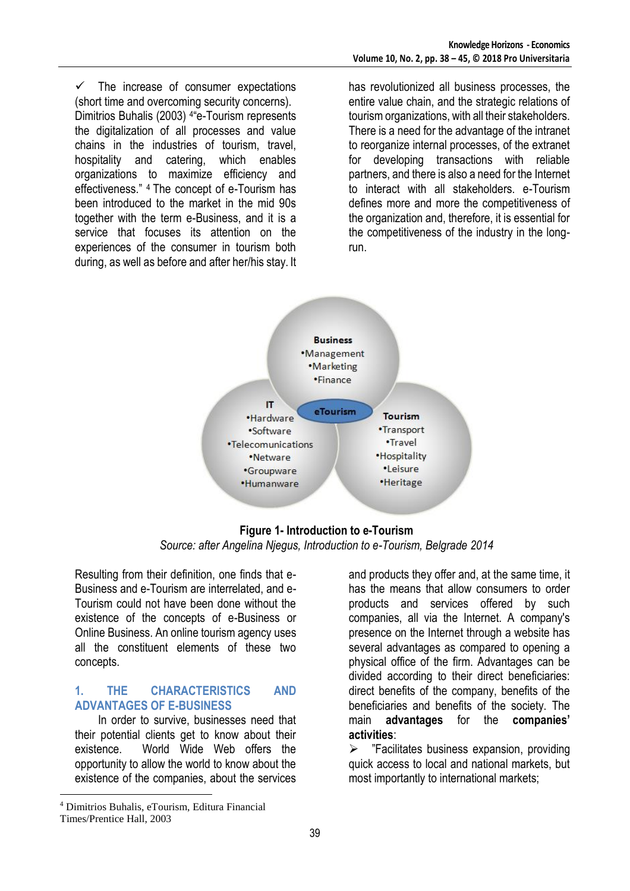$\checkmark$  The increase of consumer expectations (short time and overcoming security concerns). Dimitrios Buhalis (2003) <sup>4</sup> e-Tourism represents the digitalization of all processes and value chains in the industries of tourism, travel, hospitality and catering, which enables organizations to maximize efficiency and effectiveness." 4 The concept of e-Tourism has been introduced to the market in the mid 90s together with the term e-Business, and it is a service that focuses its attention on the experiences of the consumer in tourism both during, as well as before and after her/his stay. It has revolutionized all business processes, the entire value chain, and the strategic relations of tourism organizations, with all their stakeholders. There is a need for the advantage of the intranet to reorganize internal processes, of the extranet for developing transactions with reliable partners, and there is also a need for the Internet to interact with all stakeholders. e-Tourism defines more and more the competitiveness of the organization and, therefore, it is essential for the competitiveness of the industry in the longrun.



**Figure 1- Introduction to e-Tourism** *Source: after Angelina Njegus, Introduction to e-Tourism, Belgrade 2014*

Resulting from their definition, one finds that e-Business and e-Tourism are interrelated, and e-Tourism could not have been done without the existence of the concepts of e-Business or Online Business. An online tourism agency uses all the constituent elements of these two concepts.

# **1. THE CHARACTERISTICS AND ADVANTAGES OF E-BUSINESS**

In order to survive, businesses need that their potential clients get to know about their existence. World Wide Web offers the opportunity to allow the world to know about the existence of the companies, about the services

and products they offer and, at the same time, it has the means that allow consumers to order products and services offered by such companies, all via the Internet. A company's presence on the Internet through a website has several advantages as compared to opening a physical office of the firm. Advantages can be divided according to their direct beneficiaries: direct benefits of the company, benefits of the beneficiaries and benefits of the society. The main **advantages** for the **companies' activities**:

 $\triangleright$  "Facilitates business expansion, providing quick access to local and national markets, but most importantly to international markets;

 $\overline{a}$ 

<sup>4</sup> Dimitrios Buhalis, eTourism, Editura Financial

Times/Prentice Hall, 2003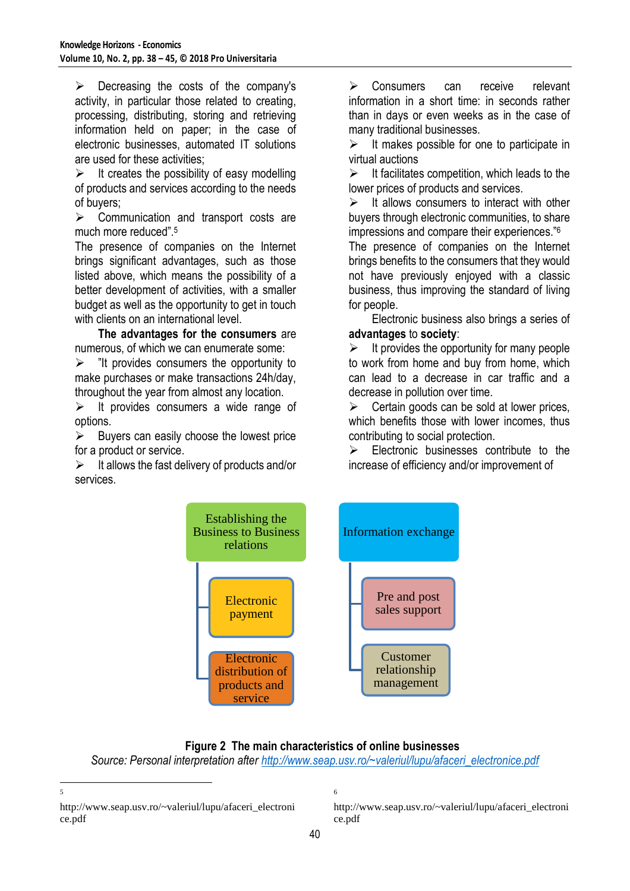$\triangleright$  Decreasing the costs of the company's activity, in particular those related to creating, processing, distributing, storing and retrieving information held on paper; in the case of electronic businesses, automated IT solutions are used for these activities;

 $\triangleright$  It creates the possibility of easy modelling of products and services according to the needs of buyers;

 $\triangleright$  Communication and transport costs are much more reduced".<sup>5</sup>

The presence of companies on the Internet brings significant advantages, such as those listed above, which means the possibility of a better development of activities, with a smaller budget as well as the opportunity to get in touch with clients on an international level.

**The advantages for the consumers** are numerous, of which we can enumerate some:

 $\triangleright$  "It provides consumers the opportunity to make purchases or make transactions 24h/day, throughout the year from almost any location.

 $\triangleright$  It provides consumers a wide range of options.

 $\triangleright$  Buyers can easily choose the lowest price for a product or service.

 $\triangleright$  It allows the fast delivery of products and/or services.

> Consumers can receive relevant information in a short time: in seconds rather than in days or even weeks as in the case of many traditional businesses.

 $\triangleright$  It makes possible for one to participate in virtual auctions

 $\triangleright$  It facilitates competition, which leads to the lower prices of products and services.

 $\triangleright$  It allows consumers to interact with other buyers through electronic communities, to share impressions and compare their experiences."<sup>6</sup>

The presence of companies on the Internet brings benefits to the consumers that they would not have previously enjoyed with a classic business, thus improving the standard of living for people.

Electronic business also brings a series of **advantages** to **society**:

 $\triangleright$  It provides the opportunity for many people to work from home and buy from home, which can lead to a decrease in car traffic and a decrease in pollution over time.

 $\triangleright$  Certain goods can be sold at lower prices, which benefits those with lower incomes, thus contributing to social protection.

 $\triangleright$  Electronic businesses contribute to the increase of efficiency and/or improvement of



# **Figure 2 The main characteristics of online businesses**

6

*Source: Personal interpretation after [http://www.seap.usv.ro/~valeriul/lupu/afaceri\\_electronice.pdf](http://www.seap.usv.ro/~valeriul/lupu/afaceri_electronice.pdf)*

http://www.seap.usv.ro/~valeriul/lupu/afaceri\_electroni ce.pdf

http://www.seap.usv.ro/~valeriul/lupu/afaceri\_electroni ce.pdf

 $\frac{1}{5}$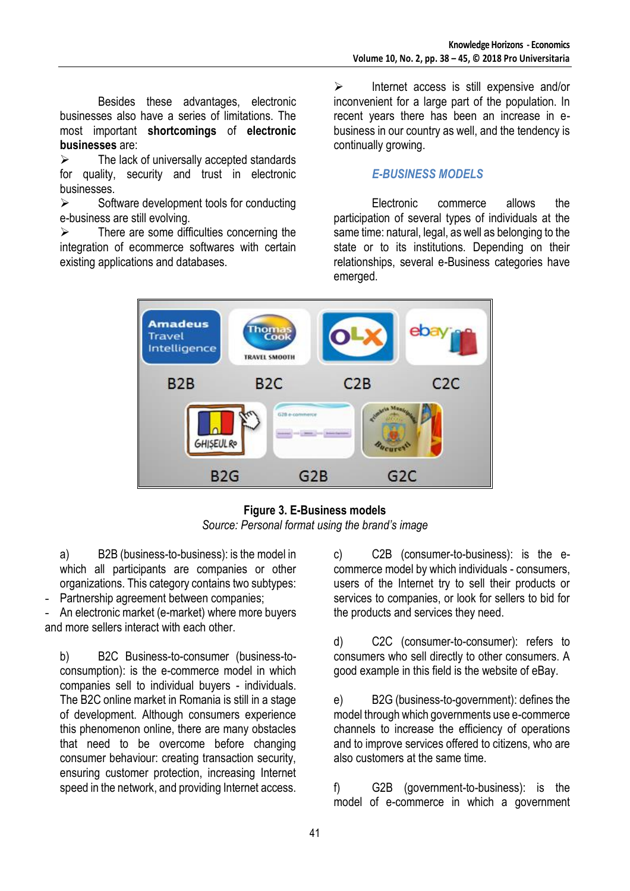Besides these advantages, electronic businesses also have a series of limitations. The most important **shortcomings** of **electronic businesses** are:

 $\triangleright$  The lack of universally accepted standards for quality, security and trust in electronic businesses.

 $\triangleright$  Software development tools for conducting e-business are still evolving.

 $\triangleright$  There are some difficulties concerning the integration of ecommerce softwares with certain existing applications and databases.

 $\triangleright$  Internet access is still expensive and/or inconvenient for a large part of the population. In recent years there has been an increase in ebusiness in our country as well, and the tendency is continually growing.

# *E-BUSINESS MODELS*

Electronic commerce allows the participation of several types of individuals at the same time: natural, legal, as well as belonging to the state or to its institutions. Depending on their relationships, several e-Business categories have emerged.



**Figure 3. E-Business models** *Source: Personal format using the brand's image*

a) B2B (business-to-business): is the model in which all participants are companies or other organizations. This category contains two subtypes: Partnership agreement between companies;

An electronic market (e-market) where more buyers and more sellers interact with each other.

b) B2C Business-to-consumer (business-toconsumption): is the e-commerce model in which companies sell to individual buyers - individuals. The B2C online market in Romania is still in a stage of development. Although consumers experience this phenomenon online, there are many obstacles that need to be overcome before changing consumer behaviour: creating transaction security, ensuring customer protection, increasing Internet speed in the network, and providing Internet access.

c) C2B (consumer-to-business): is the ecommerce model by which individuals - consumers, users of the Internet try to sell their products or services to companies, or look for sellers to bid for the products and services they need.

d) C2C (consumer-to-consumer): refers to consumers who sell directly to other consumers. A good example in this field is the website of eBay.

e) B2G (business-to-government): defines the model through which governments use e-commerce channels to increase the efficiency of operations and to improve services offered to citizens, who are also customers at the same time.

f) G2B (government-to-business): is the model of e-commerce in which a government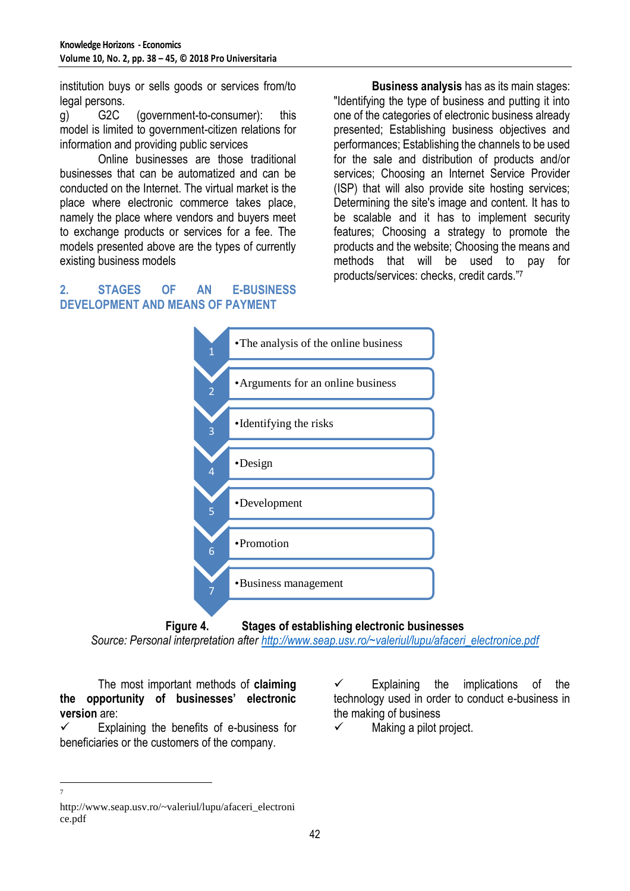institution buys or sells goods or services from/to legal persons.

g) G2C (government-to-consumer): this model is limited to government-citizen relations for information and providing public services

Online businesses are those traditional businesses that can be automatized and can be conducted on the Internet. The virtual market is the place where electronic commerce takes place, namely the place where vendors and buyers meet to exchange products or services for a fee. The models presented above are the types of currently existing business models

**Business analysis** has as its main stages: "Identifying the type of business and putting it into one of the categories of electronic business already presented; Establishing business objectives and performances; Establishing the channels to be used for the sale and distribution of products and/or services; Choosing an Internet Service Provider (ISP) that will also provide site hosting services; Determining the site's image and content. It has to be scalable and it has to implement security features; Choosing a strategy to promote the products and the website; Choosing the means and methods that will be used to pay for products/services: checks, credit cards."<sup>7</sup>

# **2. STAGES OF AN E-BUSINESS DEVELOPMENT AND MEANS OF PAYMENT**



**Figure 4. Stages of establishing electronic businesses**

*Source: Personal interpretation after [http://www.seap.usv.ro/~valeriul/lupu/afaceri\\_electronice.pdf](http://www.seap.usv.ro/~valeriul/lupu/afaceri_electronice.pdf)*

The most important methods of **claiming the opportunity of businesses' electronic version** are:

 $\checkmark$  Explaining the benefits of e-business for beneficiaries or the customers of the company.

 $\checkmark$  Explaining the implications of the technology used in order to conduct e-business in the making of business

 $\checkmark$  Making a pilot project.

 $\frac{1}{7}$ 

http://www.seap.usv.ro/~valeriul/lupu/afaceri\_electroni ce.pdf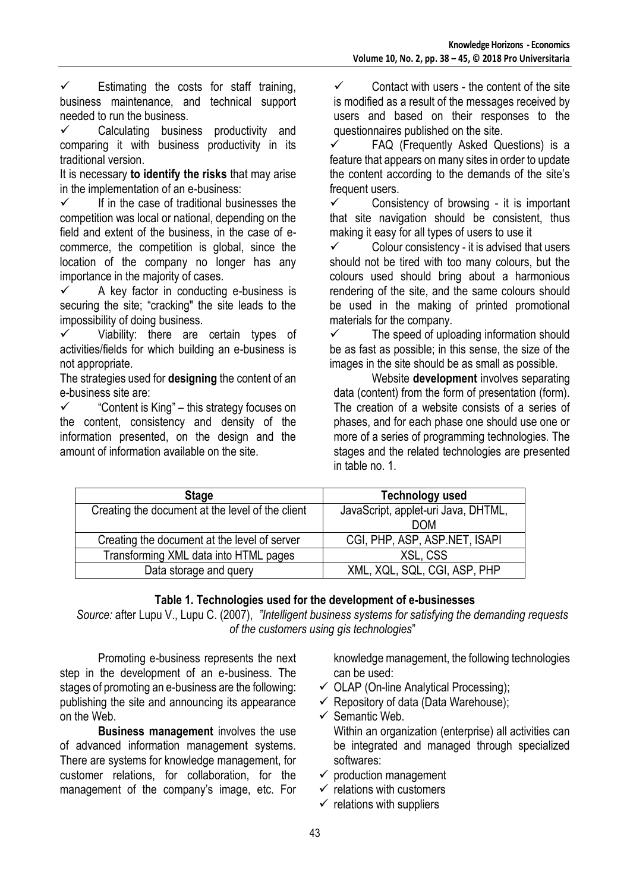$\checkmark$  Estimating the costs for staff training, business maintenance, and technical support needed to run the business.

 $\checkmark$  Calculating business productivity and comparing it with business productivity in its traditional version.

It is necessary **to identify the risks** that may arise in the implementation of an e-business:

 $\checkmark$  If in the case of traditional businesses the competition was local or national, depending on the field and extent of the business, in the case of ecommerce, the competition is global, since the location of the company no longer has any importance in the majority of cases.

 $\checkmark$  A key factor in conducting e-business is securing the site; "cracking" the site leads to the impossibility of doing business.

 $\checkmark$  Viability: there are certain types of activities/fields for which building an e-business is not appropriate.

The strategies used for **designing** the content of an e-business site are:

 $\checkmark$  – "Content is King" – this strategy focuses on the content, consistency and density of the information presented, on the design and the amount of information available on the site.

 $\checkmark$  Contact with users - the content of the site is modified as a result of the messages received by users and based on their responses to the questionnaires published on the site.<br>
FAO (Frequently Asked Qu

 FAQ (Frequently Asked Questions) is a feature that appears on many sites in order to update the content according to the demands of the site's frequent users.

 $\checkmark$  Consistency of browsing - it is important that site navigation should be consistent, thus making it easy for all types of users to use it

 $\checkmark$  Colour consistency - it is advised that users should not be tired with too many colours, but the colours used should bring about a harmonious rendering of the site, and the same colours should be used in the making of printed promotional materials for the company.

 $\checkmark$  The speed of uploading information should be as fast as possible; in this sense, the size of the images in the site should be as small as possible.

Website **development** involves separating data (content) from the form of presentation (form). The creation of a website consists of a series of phases, and for each phase one should use one or more of a series of programming technologies. The stages and the related technologies are presented in table no. 1.

| <b>Stage</b>                                     | Technology used                     |
|--------------------------------------------------|-------------------------------------|
| Creating the document at the level of the client | JavaScript, applet-uri Java, DHTML, |
|                                                  | <b>DOM</b>                          |
| Creating the document at the level of server     | CGI, PHP, ASP, ASP.NET, ISAPI       |
| Transforming XML data into HTML pages            | XSL, CSS                            |
| Data storage and query                           | XML, XQL, SQL, CGI, ASP, PHP        |

# **Table 1. Technologies used for the development of e-businesses**

*Source:* after Lupu V., Lupu C. (2007), *"Intelligent business systems for satisfying the demanding requests of the customers using gis technologies*"

Promoting e-business represents the next step in the development of an e-business. The stages of promoting an e-business are the following: publishing the site and announcing its appearance on the Web.

**Business management** involves the use of advanced information management systems. There are systems for knowledge management, for customer relations, for collaboration, for the management of the company's image, etc. For

knowledge management, the following technologies can be used:

- $\checkmark$  OLAP (On-line Analytical Processing);
- $\checkmark$  Repository of data (Data Warehouse);
- $\checkmark$  Semantic Web. Within an organization (enterprise) all activities can be integrated and managed through specialized softwares:
- $\checkmark$  production management
- $\checkmark$  relations with customers
- $\checkmark$  relations with suppliers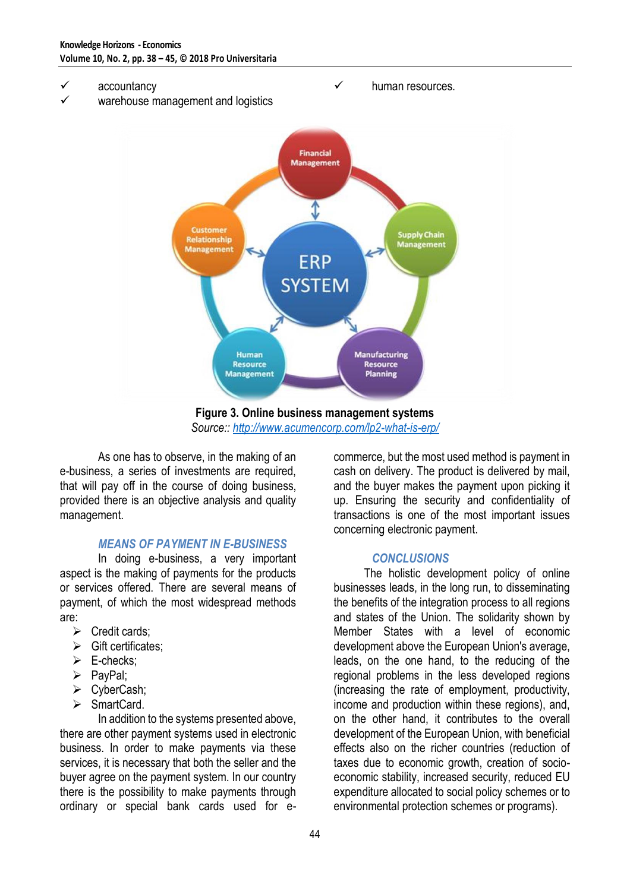- **✓ accountancy**<br>✓ warehouse.m
- warehouse management and logistics



 $\checkmark$  human resources.

**Figure 3. Online business management systems** *Source::<http://www.acumencorp.com/lp2-what-is-erp/>*

As one has to observe, in the making of an e-business, a series of investments are required, that will pay off in the course of doing business, provided there is an objective analysis and quality management.

#### *MEANS OF PAYMENT IN E-BUSINESS*

In doing e-business, a very important aspect is the making of payments for the products or services offered. There are several means of payment, of which the most widespread methods are:

- $\triangleright$  Credit cards;
- $\triangleright$  Gift certificates:
- $\triangleright$  E-checks;
- $\triangleright$  PayPal;
- CyberCash;
- > SmartCard.

In addition to the systems presented above, there are other payment systems used in electronic business. In order to make payments via these services, it is necessary that both the seller and the buyer agree on the payment system. In our country there is the possibility to make payments through ordinary or special bank cards used for ecommerce, but the most used method is payment in cash on delivery. The product is delivered by mail, and the buyer makes the payment upon picking it up. Ensuring the security and confidentiality of transactions is one of the most important issues concerning electronic payment.

# *CONCLUSIONS*

The holistic development policy of online businesses leads, in the long run, to disseminating the benefits of the integration process to all regions and states of the Union. The solidarity shown by Member States with a level of economic development above the European Union's average, leads, on the one hand, to the reducing of the regional problems in the less developed regions (increasing the rate of employment, productivity, income and production within these regions), and, on the other hand, it contributes to the overall development of the European Union, with beneficial effects also on the richer countries (reduction of taxes due to economic growth, creation of socioeconomic stability, increased security, reduced EU expenditure allocated to social policy schemes or to environmental protection schemes or programs).